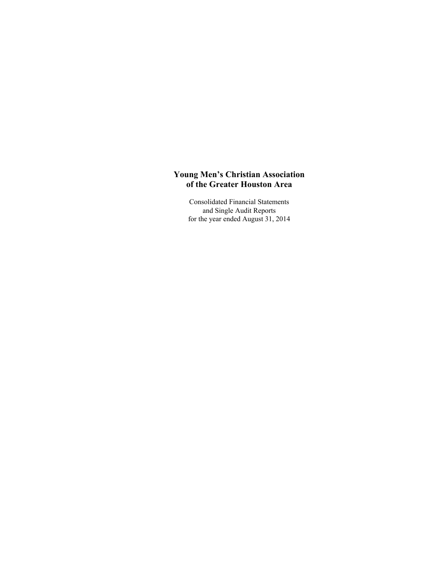Consolidated Financial Statements and Single Audit Reports for the year ended August 31, 2014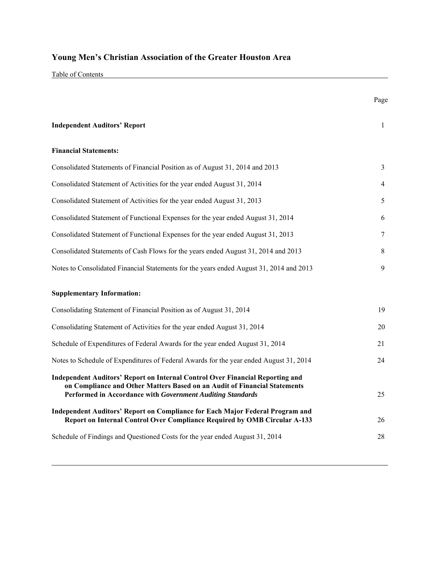Table of Contents

|                                                                                                                                                                                                                          | Page           |
|--------------------------------------------------------------------------------------------------------------------------------------------------------------------------------------------------------------------------|----------------|
| <b>Independent Auditors' Report</b>                                                                                                                                                                                      | $\mathbf{1}$   |
| <b>Financial Statements:</b>                                                                                                                                                                                             |                |
| Consolidated Statements of Financial Position as of August 31, 2014 and 2013                                                                                                                                             | $\mathfrak{Z}$ |
| Consolidated Statement of Activities for the year ended August 31, 2014                                                                                                                                                  | 4              |
| Consolidated Statement of Activities for the year ended August 31, 2013                                                                                                                                                  | 5              |
| Consolidated Statement of Functional Expenses for the year ended August 31, 2014                                                                                                                                         | 6              |
| Consolidated Statement of Functional Expenses for the year ended August 31, 2013                                                                                                                                         | $\tau$         |
| Consolidated Statements of Cash Flows for the years ended August 31, 2014 and 2013                                                                                                                                       | 8              |
| Notes to Consolidated Financial Statements for the years ended August 31, 2014 and 2013                                                                                                                                  | 9              |
| <b>Supplementary Information:</b>                                                                                                                                                                                        |                |
| Consolidating Statement of Financial Position as of August 31, 2014                                                                                                                                                      | 19             |
| Consolidating Statement of Activities for the year ended August 31, 2014                                                                                                                                                 | 20             |
| Schedule of Expenditures of Federal Awards for the year ended August 31, 2014                                                                                                                                            | 21             |
| Notes to Schedule of Expenditures of Federal Awards for the year ended August 31, 2014                                                                                                                                   | 24             |
| Independent Auditors' Report on Internal Control Over Financial Reporting and<br>on Compliance and Other Matters Based on an Audit of Financial Statements<br>Performed in Accordance with Government Auditing Standards | 25             |
| <b>Independent Auditors' Report on Compliance for Each Major Federal Program and</b><br>Report on Internal Control Over Compliance Required by OMB Circular A-133                                                        | 26             |
| Schedule of Findings and Questioned Costs for the year ended August 31, 2014                                                                                                                                             | 28             |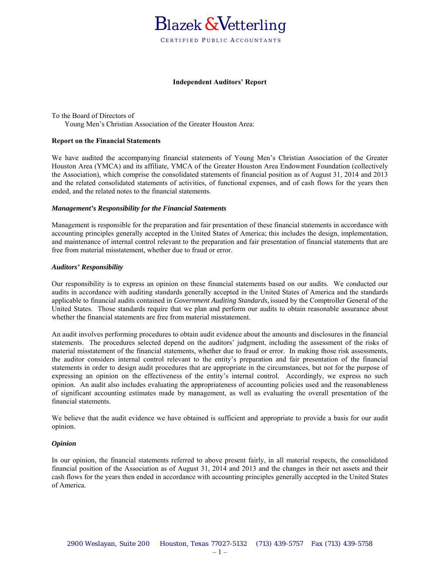

#### **Independent Auditors' Report**

To the Board of Directors of Young Men's Christian Association of the Greater Houston Area:

#### **Report on the Financial Statements**

We have audited the accompanying financial statements of Young Men's Christian Association of the Greater Houston Area (YMCA) and its affiliate, YMCA of the Greater Houston Area Endowment Foundation (collectively the Association), which comprise the consolidated statements of financial position as of August 31, 2014 and 2013 and the related consolidated statements of activities, of functional expenses, and of cash flows for the years then ended, and the related notes to the financial statements.

#### *Management's Responsibility for the Financial Statements*

Management is responsible for the preparation and fair presentation of these financial statements in accordance with accounting principles generally accepted in the United States of America; this includes the design, implementation, and maintenance of internal control relevant to the preparation and fair presentation of financial statements that are free from material misstatement, whether due to fraud or error.

#### *Auditors' Responsibility*

Our responsibility is to express an opinion on these financial statements based on our audits. We conducted our audits in accordance with auditing standards generally accepted in the United States of America and the standards applicable to financial audits contained in *Government Auditing Standards,* issued by the Comptroller General of the United States. Those standards require that we plan and perform our audits to obtain reasonable assurance about whether the financial statements are free from material misstatement.

An audit involves performing procedures to obtain audit evidence about the amounts and disclosures in the financial statements. The procedures selected depend on the auditors' judgment, including the assessment of the risks of material misstatement of the financial statements, whether due to fraud or error. In making those risk assessments, the auditor considers internal control relevant to the entity's preparation and fair presentation of the financial statements in order to design audit procedures that are appropriate in the circumstances, but not for the purpose of expressing an opinion on the effectiveness of the entity's internal control. Accordingly, we express no such opinion. An audit also includes evaluating the appropriateness of accounting policies used and the reasonableness of significant accounting estimates made by management, as well as evaluating the overall presentation of the financial statements.

We believe that the audit evidence we have obtained is sufficient and appropriate to provide a basis for our audit opinion.

#### *Opinion*

In our opinion, the financial statements referred to above present fairly, in all material respects, the consolidated financial position of the Association as of August 31, 2014 and 2013 and the changes in their net assets and their cash flows for the years then ended in accordance with accounting principles generally accepted in the United States of America.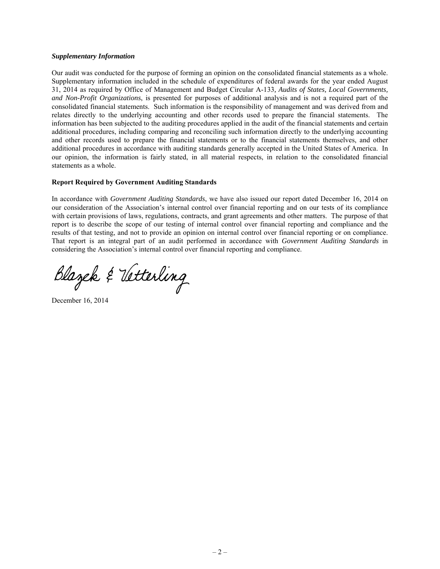#### *Supplementary Information*

Our audit was conducted for the purpose of forming an opinion on the consolidated financial statements as a whole. Supplementary information included in the schedule of expenditures of federal awards for the year ended August 31, 2014 as required by Office of Management and Budget Circular A-133*, Audits of States, Local Governments, and Non-Profit Organizations*, is presented for purposes of additional analysis and is not a required part of the consolidated financial statements. Such information is the responsibility of management and was derived from and relates directly to the underlying accounting and other records used to prepare the financial statements. The information has been subjected to the auditing procedures applied in the audit of the financial statements and certain additional procedures, including comparing and reconciling such information directly to the underlying accounting and other records used to prepare the financial statements or to the financial statements themselves, and other additional procedures in accordance with auditing standards generally accepted in the United States of America. In our opinion, the information is fairly stated, in all material respects, in relation to the consolidated financial statements as a whole.

#### **Report Required by Government Auditing Standards**

In accordance with *Government Auditing Standards*, we have also issued our report dated December 16, 2014 on our consideration of the Association's internal control over financial reporting and on our tests of its compliance with certain provisions of laws, regulations, contracts, and grant agreements and other matters. The purpose of that report is to describe the scope of our testing of internal control over financial reporting and compliance and the results of that testing, and not to provide an opinion on internal control over financial reporting or on compliance. That report is an integral part of an audit performed in accordance with *Government Auditing Standards* in considering the Association's internal control over financial reporting and compliance.

Blazek & Vetterling

December 16, 2014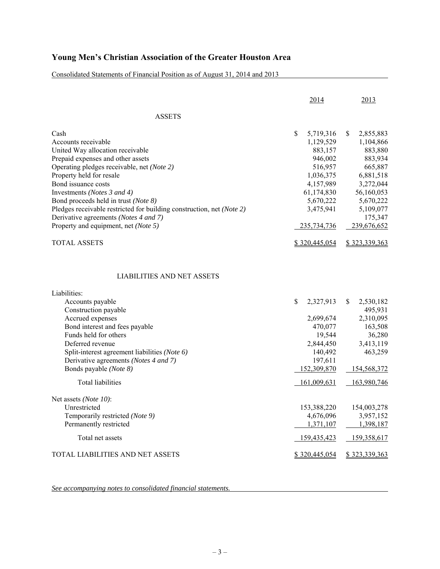Consolidated Statements of Financial Position as of August 31, 2014 and 2013

|                                                                       | 2014                      | 2013            |
|-----------------------------------------------------------------------|---------------------------|-----------------|
| <b>ASSETS</b>                                                         |                           |                 |
| Cash                                                                  | \$<br>5,719,316           | \$<br>2,855,883 |
| Accounts receivable                                                   | 1,129,529                 | 1,104,866       |
| United Way allocation receivable                                      | 883,157                   | 883,880         |
| Prepaid expenses and other assets                                     | 946,002                   | 883,934         |
| Operating pledges receivable, net (Note 2)                            | 516,957                   | 665,887         |
| Property held for resale                                              | 1,036,375                 | 6,881,518       |
| Bond issuance costs                                                   | 4,157,989                 | 3,272,044       |
| Investments (Notes 3 and 4)                                           | 61,174,830                | 56,160,053      |
| Bond proceeds held in trust (Note 8)                                  | 5,670,222                 | 5,670,222       |
| Pledges receivable restricted for building construction, net (Note 2) | 3,475,941                 | 5,109,077       |
| Derivative agreements (Notes 4 and 7)                                 |                           | 175,347         |
| Property and equipment, net (Note 5)                                  | 235,734,736               | 239,676,652     |
| <b>TOTAL ASSETS</b>                                                   | \$320,445,054             | \$323,339,363   |
| <b>LIABILITIES AND NET ASSETS</b>                                     |                           |                 |
| Liabilities:                                                          |                           |                 |
| Accounts payable                                                      | $\mathbb{S}$<br>2,327,913 | \$<br>2,530,182 |
| Construction payable                                                  |                           | 495,931         |
| Accrued expenses                                                      | 2,699,674                 | 2,310,095       |
| Bond interest and fees payable                                        | 470,077                   | 163,508         |
| Funds held for others                                                 | 19,544                    | 36,280          |
| Deferred revenue                                                      | 2,844,450                 | 3,413,119       |
| Split-interest agreement liabilities (Note 6)                         | 140,492                   | 463,259         |
| Derivative agreements (Notes 4 and 7)                                 | 197,611                   |                 |
| Bonds payable (Note 8)                                                | 152,309,870               | 154,568,372     |
| <b>Total liabilities</b>                                              | 161,009,631               | 163,980,746     |
| Net assets (Note 10):                                                 |                           |                 |
| Unrestricted                                                          | 153,388,220               | 154,003,278     |
| Temporarily restricted (Note 9)                                       | 4,676,096                 | 3,957,152       |
| Permanently restricted                                                | 1,371,107                 | 1,398,187       |
| Total net assets                                                      | 159,435,423               | 159,358,617     |
| TOTAL LIABILITIES AND NET ASSETS                                      | \$ 320,445,054            | \$323,339,363   |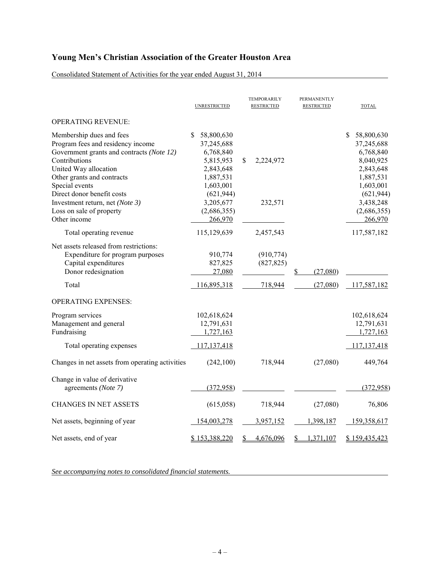Consolidated Statement of Activities for the year ended August 31, 2014

|                                                                                                                                                                                                      | <b>UNRESTRICTED</b>                                                                             | TEMPORARILY<br><b>RESTRICTED</b> | PERMANENTLY<br><b>RESTRICTED</b> | <b>TOTAL</b>                                                                                    |
|------------------------------------------------------------------------------------------------------------------------------------------------------------------------------------------------------|-------------------------------------------------------------------------------------------------|----------------------------------|----------------------------------|-------------------------------------------------------------------------------------------------|
| <b>OPERATING REVENUE:</b>                                                                                                                                                                            |                                                                                                 |                                  |                                  |                                                                                                 |
| Membership dues and fees<br>Program fees and residency income<br>Government grants and contracts (Note 12)<br>Contributions<br>United Way allocation<br>Other grants and contracts<br>Special events | 58,800,630<br>S.<br>37,245,688<br>6,768,840<br>5,815,953<br>2,843,648<br>1,887,531<br>1,603,001 | \$<br>2,224,972                  |                                  | \$<br>58,800,630<br>37,245,688<br>6,768,840<br>8,040,925<br>2,843,648<br>1,887,531<br>1,603,001 |
| Direct donor benefit costs<br>Investment return, net (Note 3)<br>Loss on sale of property<br>Other income                                                                                            | (621, 944)<br>3,205,677<br>(2,686,355)<br>266,970                                               | 232,571                          |                                  | (621, 944)<br>3,438,248<br>(2,686,355)<br>266,970                                               |
| Total operating revenue                                                                                                                                                                              | 115,129,639                                                                                     | 2,457,543                        |                                  | 117,587,182                                                                                     |
| Net assets released from restrictions:<br>Expenditure for program purposes<br>Capital expenditures<br>Donor redesignation                                                                            | 910,774<br>827,825<br>27,080                                                                    | (910, 774)<br>(827, 825)         | (27,080)                         |                                                                                                 |
| Total                                                                                                                                                                                                | 116,895,318                                                                                     | 718,944                          | (27,080)                         | 117,587,182                                                                                     |
| <b>OPERATING EXPENSES:</b>                                                                                                                                                                           |                                                                                                 |                                  |                                  |                                                                                                 |
| Program services<br>Management and general<br>Fundraising                                                                                                                                            | 102,618,624<br>12,791,631<br>1,727,163                                                          |                                  |                                  | 102,618,624<br>12,791,631<br>1,727,163                                                          |
| Total operating expenses                                                                                                                                                                             | 117,137,418                                                                                     |                                  |                                  | 117,137,418                                                                                     |
| Changes in net assets from operating activities                                                                                                                                                      | (242,100)                                                                                       | 718,944                          | (27,080)                         | 449,764                                                                                         |
| Change in value of derivative<br>agreements (Note 7)                                                                                                                                                 | (372,958)                                                                                       |                                  |                                  | (372,958)                                                                                       |
| <b>CHANGES IN NET ASSETS</b>                                                                                                                                                                         | (615,058)                                                                                       | 718,944                          | (27,080)                         | 76,806                                                                                          |
| Net assets, beginning of year                                                                                                                                                                        | 154,003,278                                                                                     | 3,957,152                        | 1,398,187                        | 159,358,617                                                                                     |
| Net assets, end of year                                                                                                                                                                              | \$153,388,220                                                                                   | 4,676,096<br>S                   | 1,371,107<br>S                   | \$159,435,423                                                                                   |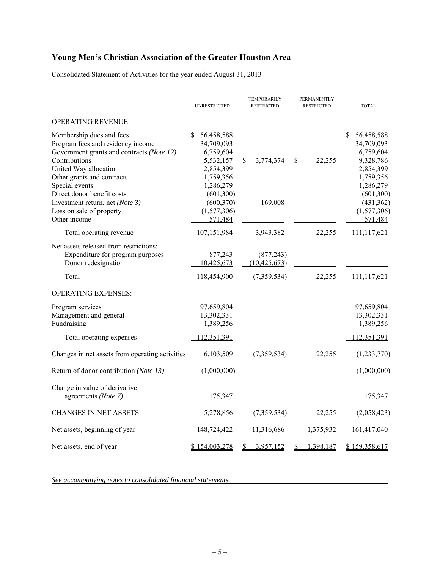Consolidated Statement of Activities for the year ended August 31, 2013

|                                                                                                                                                                                                      | <b>TEMPORARILY</b><br>UNRESTRICTED<br><b>RESTRICTED</b>                                         |                              | PERMANENTLY<br><b>RESTRICTED</b> | <b>TOTAL</b>                                                                                    |  |
|------------------------------------------------------------------------------------------------------------------------------------------------------------------------------------------------------|-------------------------------------------------------------------------------------------------|------------------------------|----------------------------------|-------------------------------------------------------------------------------------------------|--|
| <b>OPERATING REVENUE:</b>                                                                                                                                                                            |                                                                                                 |                              |                                  |                                                                                                 |  |
| Membership dues and fees<br>Program fees and residency income<br>Government grants and contracts (Note 12)<br>Contributions<br>United Way allocation<br>Other grants and contracts<br>Special events | 56,458,588<br>S.<br>34,709,093<br>6,759,604<br>5,532,157<br>2,854,399<br>1,759,356<br>1,286,279 | 3,774,374<br>\$              | 22,255<br>S                      | \$<br>56,458,588<br>34,709,093<br>6,759,604<br>9,328,786<br>2,854,399<br>1,759,356<br>1,286,279 |  |
| Direct donor benefit costs<br>Investment return, net (Note 3)<br>Loss on sale of property<br>Other income                                                                                            | (601, 300)<br>(600, 370)<br>(1,577,306)<br>571,484                                              | 169,008                      |                                  | (601, 300)<br>(431, 362)<br>(1,577,306)<br>571,484                                              |  |
| Total operating revenue                                                                                                                                                                              | 107,151,984                                                                                     | 3,943,382                    | 22,255                           | 111,117,621                                                                                     |  |
| Net assets released from restrictions:<br>Expenditure for program purposes<br>Donor redesignation                                                                                                    | 877,243<br>10,425,673                                                                           | (877, 243)<br>(10, 425, 673) |                                  |                                                                                                 |  |
| Total                                                                                                                                                                                                | 118,454,900                                                                                     | (7,359,534)                  | 22,255                           | 111,117,621                                                                                     |  |
| <b>OPERATING EXPENSES:</b>                                                                                                                                                                           |                                                                                                 |                              |                                  |                                                                                                 |  |
| Program services<br>Management and general<br>Fundraising                                                                                                                                            | 97,659,804<br>13,302,331<br>1,389,256                                                           |                              |                                  | 97,659,804<br>13,302,331<br>1,389,256                                                           |  |
| Total operating expenses                                                                                                                                                                             | 112,351,391                                                                                     |                              |                                  | 112,351,391                                                                                     |  |
| Changes in net assets from operating activities                                                                                                                                                      | 6,103,509                                                                                       | (7,359,534)                  | 22,255                           | (1,233,770)                                                                                     |  |
| Return of donor contribution (Note 13)                                                                                                                                                               | (1,000,000)                                                                                     |                              |                                  | (1,000,000)                                                                                     |  |
| Change in value of derivative<br>agreements (Note 7)                                                                                                                                                 | 175,347                                                                                         |                              |                                  | 175,347                                                                                         |  |
| <b>CHANGES IN NET ASSETS</b>                                                                                                                                                                         | 5,278,856                                                                                       | (7,359,534)                  | 22,255                           | (2,058,423)                                                                                     |  |
| Net assets, beginning of year                                                                                                                                                                        | 148,724,422                                                                                     | 11,316,686                   | 1,375,932                        | 161,417,040                                                                                     |  |
| Net assets, end of year                                                                                                                                                                              | \$154,003,278                                                                                   | 3,957,152<br>S               | 1,398,187<br>S                   | \$159,358,617                                                                                   |  |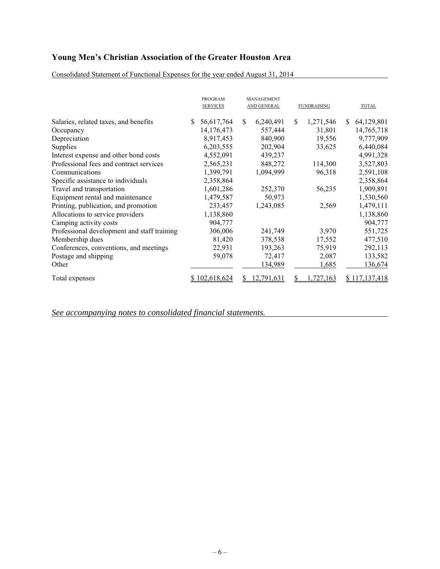|                                             | <b>PROGRAM</b>   | <b>MANAGEMENT</b>          |                    |                      |
|---------------------------------------------|------------------|----------------------------|--------------------|----------------------|
|                                             | <b>SERVICES</b>  | AND GENERAL                | <b>FUNDRAISING</b> | <b>TOTAL</b>         |
| Salaries, related taxes, and benefits       | 56,617,764<br>S. | <sup>\$</sup><br>6,240,491 | \$.<br>1,271,546   | 64,129,801<br>\$.    |
| Occupancy                                   | 14,176,473       | 557,444                    | 31,801             | 14,765,718           |
| Depreciation                                | 8,917,453        | 840,900                    | 19,556             | 9,777,909            |
| Supplies                                    | 6,203,555        | 202,904                    | 33,625             | 6,440,084            |
| Interest expense and other bond costs       | 4,552,091        | 439,237                    |                    | 4,991,328            |
| Professional fees and contract services     | 2,565,231        | 848,272                    | 114,300            | 3,527,803            |
| Communications                              | 1,399,791        | 1,094,999                  | 96,318             | 2,591,108            |
| Specific assistance to individuals          | 2,358,864        |                            |                    | 2,358,864            |
| Travel and transportation                   | 1,601,286        | 252,370                    | 56,235             | 1,909,891            |
| Equipment rental and maintenance            | 1,479,587        | 50,973                     |                    | 1,530,560            |
| Printing, publication, and promotion        | 233,457          | 1,243,085                  | 2,569              | 1,479,111            |
| Allocations to service providers            | 1,138,860        |                            |                    | 1,138,860            |
| Camping activity costs                      | 904,777          |                            |                    | 904,777              |
| Professional development and staff training | 306,006          | 241,749                    | 3,970              | 551,725              |
| Membership dues                             | 81,420           | 378,538                    | 17,552             | 477,510              |
| Conferences, conventions, and meetings      | 22,931           | 193,263                    | 75,919             | 292,113              |
| Postage and shipping                        | 59,078           | 72,417                     | 2,087              | 133,582              |
| Other                                       |                  | 134,989                    | 1,685              | 136,674              |
| Total expenses                              | \$102,618,624    | 12,791,631<br>S.           | 1,727,163<br>S     | <u>\$117,137,418</u> |

Consolidated Statement of Functional Expenses for the year ended August 31, 2014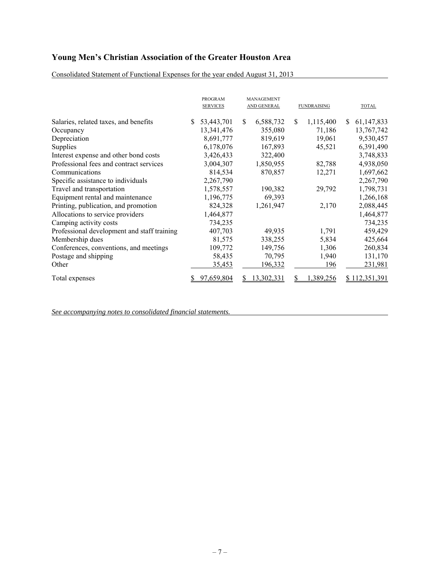| Consolidated Statement of Functional Expenses for the year ended August 31, 2013 |  |  |
|----------------------------------------------------------------------------------|--|--|
|                                                                                  |  |  |

|                                             |   | <b>PROGRAM</b><br><b>SERVICES</b> |               | <b>MANAGEMENT</b><br>AND GENERAL |     | <b>FUNDRAISING</b> |   | <b>TOTAL</b>         |
|---------------------------------------------|---|-----------------------------------|---------------|----------------------------------|-----|--------------------|---|----------------------|
| Salaries, related taxes, and benefits       | S | 53,443,701                        | <sup>\$</sup> | 6,588,732                        | \$. | 1,115,400          | S | 61, 147, 833         |
| Occupancy                                   |   | 13, 341, 476                      |               | 355,080                          |     | 71,186             |   | 13,767,742           |
| Depreciation                                |   | 8,691,777                         |               | 819,619                          |     | 19,061             |   | 9,530,457            |
| Supplies                                    |   | 6,178,076                         |               | 167,893                          |     | 45,521             |   | 6,391,490            |
| Interest expense and other bond costs       |   | 3,426,433                         |               | 322,400                          |     |                    |   | 3,748,833            |
| Professional fees and contract services     |   | 3,004,307                         |               | 1,850,955                        |     | 82,788             |   | 4,938,050            |
| Communications                              |   | 814,534                           |               | 870,857                          |     | 12,271             |   | 1,697,662            |
| Specific assistance to individuals          |   | 2,267,790                         |               |                                  |     |                    |   | 2,267,790            |
| Travel and transportation                   |   | 1,578,557                         |               | 190,382                          |     | 29,792             |   | 1,798,731            |
| Equipment rental and maintenance            |   | 1,196,775                         |               | 69,393                           |     |                    |   | 1,266,168            |
| Printing, publication, and promotion        |   | 824,328                           |               | 1,261,947                        |     | 2,170              |   | 2,088,445            |
| Allocations to service providers            |   | 1,464,877                         |               |                                  |     |                    |   | 1,464,877            |
| Camping activity costs                      |   | 734,235                           |               |                                  |     |                    |   | 734,235              |
| Professional development and staff training |   | 407,703                           |               | 49,935                           |     | 1,791              |   | 459,429              |
| Membership dues                             |   | 81,575                            |               | 338,255                          |     | 5,834              |   | 425,664              |
| Conferences, conventions, and meetings      |   | 109,772                           |               | 149,756                          |     | 1,306              |   | 260,834              |
| Postage and shipping                        |   | 58,435                            |               | 70,795                           |     | 1,940              |   | 131,170              |
| Other                                       |   | 35,453                            |               | 196,332                          |     | 196                |   | 231,981              |
| Total expenses                              |   | 97,659,804                        | S             | 13,302,331                       | S   | 1,389,256          |   | <u>\$112,351,391</u> |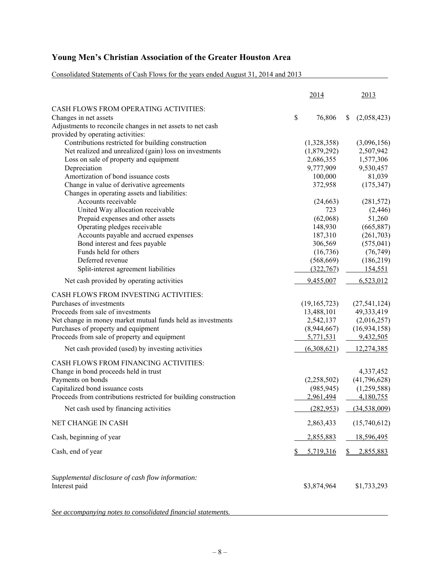Consolidated Statements of Cash Flows for the years ended August 31, 2014 and 2013

|                                                                     | 2014             | 2013                   |
|---------------------------------------------------------------------|------------------|------------------------|
| CASH FLOWS FROM OPERATING ACTIVITIES:                               |                  |                        |
| Changes in net assets                                               | \$<br>76,806     | \$<br>(2,058,423)      |
| Adjustments to reconcile changes in net assets to net cash          |                  |                        |
| provided by operating activities:                                   |                  |                        |
| Contributions restricted for building construction                  | (1,328,358)      | (3,096,156)            |
| Net realized and unrealized (gain) loss on investments              | (1,879,292)      | 2,507,942              |
| Loss on sale of property and equipment                              | 2,686,355        | 1,577,306              |
| Depreciation                                                        | 9,777,909        | 9,530,457              |
| Amortization of bond issuance costs                                 | 100,000          | 81,039                 |
| Change in value of derivative agreements                            | 372,958          | (175, 347)             |
| Changes in operating assets and liabilities:<br>Accounts receivable |                  |                        |
| United Way allocation receivable                                    | (24, 663)<br>723 | (281, 572)<br>(2, 446) |
| Prepaid expenses and other assets                                   | (62,068)         | 51,260                 |
| Operating pledges receivable                                        | 148,930          | (665, 887)             |
| Accounts payable and accrued expenses                               | 187,310          | (261,703)              |
| Bond interest and fees payable                                      | 306,569          | (575, 041)             |
| Funds held for others                                               | (16, 736)        | (76, 749)              |
| Deferred revenue                                                    | (568, 669)       | (186, 219)             |
| Split-interest agreement liabilities                                | (322, 767)       | 154,551                |
| Net cash provided by operating activities                           | 9,455,007        | 6,523,012              |
| CASH FLOWS FROM INVESTING ACTIVITIES:                               |                  |                        |
| Purchases of investments                                            | (19, 165, 723)   | (27, 541, 124)         |
| Proceeds from sale of investments                                   | 13,488,101       | 49,333,419             |
| Net change in money market mutual funds held as investments         | 2,542,137        | (2,016,257)            |
| Purchases of property and equipment                                 | (8,944,667)      | (16, 934, 158)         |
| Proceeds from sale of property and equipment                        | 5,771,531        | 9,432,505              |
| Net cash provided (used) by investing activities                    | (6,308,621)      | 12,274,385             |
| <b>CASH FLOWS FROM FINANCING ACTIVITIES:</b>                        |                  |                        |
| Change in bond proceeds held in trust                               |                  | 4,337,452              |
| Payments on bonds                                                   | (2,258,502)      | (41,796,628)           |
| Capitalized bond issuance costs                                     | (985, 945)       | (1,259,588)            |
| Proceeds from contributions restricted for building construction    | 2,961,494        | 4,180,755              |
| Net cash used by financing activities                               | (282, 953)       | (34, 538, 009)         |
| NET CHANGE IN CASH                                                  | 2,863,433        | (15,740,612)           |
| Cash, beginning of year                                             | 2,855,883        | 18,596,495             |
| Cash, end of year                                                   | 5,719,316        | 2,855,883              |
| Supplemental disclosure of cash flow information:<br>Interest paid  | \$3,874,964      | \$1,733,293            |
|                                                                     |                  |                        |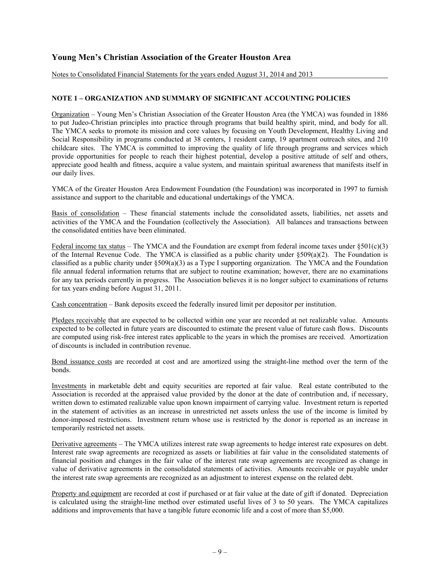Notes to Consolidated Financial Statements for the years ended August 31, 2014 and 2013

#### **NOTE 1 – ORGANIZATION AND SUMMARY OF SIGNIFICANT ACCOUNTING POLICIES**

Organization – Young Men's Christian Association of the Greater Houston Area (the YMCA) was founded in 1886 to put Judeo-Christian principles into practice through programs that build healthy spirit, mind, and body for all. The YMCA seeks to promote its mission and core values by focusing on Youth Development, Healthy Living and Social Responsibility in programs conducted at 38 centers, 1 resident camp, 19 apartment outreach sites, and 210 childcare sites. The YMCA is committed to improving the quality of life through programs and services which provide opportunities for people to reach their highest potential, develop a positive attitude of self and others, appreciate good health and fitness, acquire a value system, and maintain spiritual awareness that manifests itself in our daily lives.

YMCA of the Greater Houston Area Endowment Foundation (the Foundation) was incorporated in 1997 to furnish assistance and support to the charitable and educational undertakings of the YMCA.

Basis of consolidation – These financial statements include the consolidated assets, liabilities, net assets and activities of the YMCA and the Foundation (collectively the Association). All balances and transactions between the consolidated entities have been eliminated.

Federal income tax status – The YMCA and the Foundation are exempt from federal income taxes under §501(c)(3) of the Internal Revenue Code. The YMCA is classified as a public charity under §509(a)(2). The Foundation is classified as a public charity under  $\S509(a)(3)$  as a Type I supporting organization. The YMCA and the Foundation file annual federal information returns that are subject to routine examination; however, there are no examinations for any tax periods currently in progress. The Association believes it is no longer subject to examinations of returns for tax years ending before August 31, 2011.

Cash concentration – Bank deposits exceed the federally insured limit per depositor per institution.

Pledges receivable that are expected to be collected within one year are recorded at net realizable value. Amounts expected to be collected in future years are discounted to estimate the present value of future cash flows. Discounts are computed using risk-free interest rates applicable to the years in which the promises are received. Amortization of discounts is included in contribution revenue.

Bond issuance costs are recorded at cost and are amortized using the straight-line method over the term of the bonds.

Investments in marketable debt and equity securities are reported at fair value. Real estate contributed to the Association is recorded at the appraised value provided by the donor at the date of contribution and, if necessary, written down to estimated realizable value upon known impairment of carrying value. Investment return is reported in the statement of activities as an increase in unrestricted net assets unless the use of the income is limited by donor-imposed restrictions. Investment return whose use is restricted by the donor is reported as an increase in temporarily restricted net assets.

Derivative agreements – The YMCA utilizes interest rate swap agreements to hedge interest rate exposures on debt. Interest rate swap agreements are recognized as assets or liabilities at fair value in the consolidated statements of financial position and changes in the fair value of the interest rate swap agreements are recognized as change in value of derivative agreements in the consolidated statements of activities. Amounts receivable or payable under the interest rate swap agreements are recognized as an adjustment to interest expense on the related debt.

Property and equipment are recorded at cost if purchased or at fair value at the date of gift if donated. Depreciation is calculated using the straight-line method over estimated useful lives of 3 to 50 years. The YMCA capitalizes additions and improvements that have a tangible future economic life and a cost of more than \$5,000.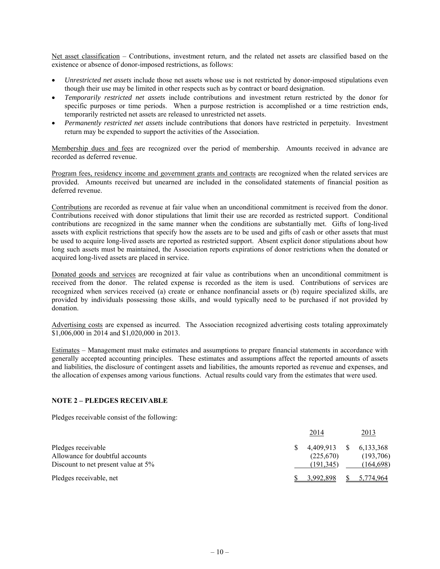Net asset classification – Contributions, investment return, and the related net assets are classified based on the existence or absence of donor-imposed restrictions, as follows:

- *Unrestricted net assets* include those net assets whose use is not restricted by donor-imposed stipulations even though their use may be limited in other respects such as by contract or board designation.
- *Temporarily restricted net assets* include contributions and investment return restricted by the donor for specific purposes or time periods. When a purpose restriction is accomplished or a time restriction ends, temporarily restricted net assets are released to unrestricted net assets.
- *Permanently restricted net assets* include contributions that donors have restricted in perpetuity. Investment return may be expended to support the activities of the Association.

Membership dues and fees are recognized over the period of membership. Amounts received in advance are recorded as deferred revenue.

Program fees, residency income and government grants and contracts are recognized when the related services are provided. Amounts received but unearned are included in the consolidated statements of financial position as deferred revenue.

Contributions are recorded as revenue at fair value when an unconditional commitment is received from the donor. Contributions received with donor stipulations that limit their use are recorded as restricted support. Conditional contributions are recognized in the same manner when the conditions are substantially met. Gifts of long-lived assets with explicit restrictions that specify how the assets are to be used and gifts of cash or other assets that must be used to acquire long-lived assets are reported as restricted support. Absent explicit donor stipulations about how long such assets must be maintained, the Association reports expirations of donor restrictions when the donated or acquired long-lived assets are placed in service.

Donated goods and services are recognized at fair value as contributions when an unconditional commitment is received from the donor. The related expense is recorded as the item is used. Contributions of services are recognized when services received (a) create or enhance nonfinancial assets or (b) require specialized skills, are provided by individuals possessing those skills, and would typically need to be purchased if not provided by donation.

Advertising costs are expensed as incurred. The Association recognized advertising costs totaling approximately \$1,006,000 in 2014 and \$1,020,000 in 2013.

Estimates – Management must make estimates and assumptions to prepare financial statements in accordance with generally accepted accounting principles. These estimates and assumptions affect the reported amounts of assets and liabilities, the disclosure of contingent assets and liabilities, the amounts reported as revenue and expenses, and the allocation of expenses among various functions. Actual results could vary from the estimates that were used.

#### **NOTE 2 – PLEDGES RECEIVABLE**

Pledges receivable consist of the following:

|                                                                                              | 2014                                | 2013                                 |
|----------------------------------------------------------------------------------------------|-------------------------------------|--------------------------------------|
| Pledges receivable<br>Allowance for doubtful accounts<br>Discount to net present value at 5% | 4.409.913<br>(225,670)<br>(191.345) | 6,133,368<br>(193,706)<br>(164, 698) |
| Pledges receivable, net                                                                      | 3.992.898                           | 5.774.964                            |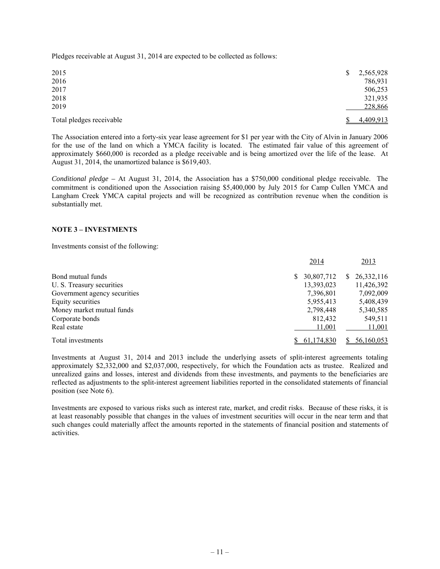Pledges receivable at August 31, 2014 are expected to be collected as follows:

| 2015                     | S | 2,565,928 |
|--------------------------|---|-----------|
| 2016                     |   | 786,931   |
| 2017                     |   | 506,253   |
| 2018                     |   | 321,935   |
| 2019                     |   | 228,866   |
| Total pledges receivable |   | 4,409,913 |

The Association entered into a forty-six year lease agreement for \$1 per year with the City of Alvin in January 2006 for the use of the land on which a YMCA facility is located. The estimated fair value of this agreement of approximately \$660,000 is recorded as a pledge receivable and is being amortized over the life of the lease. At August 31, 2014, the unamortized balance is \$619,403.

*Conditional pledge –* At August 31, 2014, the Association has a \$750,000 conditional pledge receivable. The commitment is conditioned upon the Association raising \$5,400,000 by July 2015 for Camp Cullen YMCA and Langham Creek YMCA capital projects and will be recognized as contribution revenue when the condition is substantially met.

#### **NOTE 3 – INVESTMENTS**

Investments consist of the following:

|                              | 2014       | 2013             |
|------------------------------|------------|------------------|
| Bond mutual funds            | 30,807,712 | 26,332,116<br>S. |
| U. S. Treasury securities    | 13,393,023 | 11,426,392       |
| Government agency securities | 7,396,801  | 7,092,009        |
| Equity securities            | 5,955,413  | 5,408,439        |
| Money market mutual funds    | 2,798,448  | 5,340,585        |
| Corporate bonds              | 812,432    | 549,511          |
| Real estate                  | 11,001     | 11,001           |
| Total investments            | 61,174,830 | 56,160,053       |

Investments at August 31, 2014 and 2013 include the underlying assets of split-interest agreements totaling approximately \$2,332,000 and \$2,037,000, respectively, for which the Foundation acts as trustee. Realized and unrealized gains and losses, interest and dividends from these investments, and payments to the beneficiaries are reflected as adjustments to the split-interest agreement liabilities reported in the consolidated statements of financial position (see Note 6).

Investments are exposed to various risks such as interest rate, market, and credit risks. Because of these risks, it is at least reasonably possible that changes in the values of investment securities will occur in the near term and that such changes could materially affect the amounts reported in the statements of financial position and statements of activities.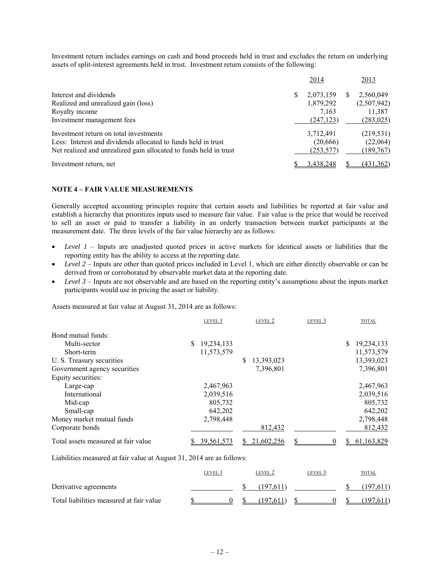Investment return includes earnings on cash and bond proceeds held in trust and excludes the return on underlying assets of split-interest agreements held in trust. Investment return consists of the following:

|                                                                   |   | 2014       |   | 2013        |
|-------------------------------------------------------------------|---|------------|---|-------------|
| Interest and dividends                                            | S | 2,073,159  | S | 2,560,049   |
| Realized and unrealized gain (loss)                               |   | 1,879,292  |   | (2,507,942) |
| Royalty income                                                    |   | 7.163      |   | 11,387      |
| Investment management fees                                        |   | (247, 123) |   | (283, 025)  |
| Investment return on total investments                            |   | 3,712,491  |   | (219, 531)  |
| Less: Interest and dividends allocated to funds held in trust     |   | (20,666)   |   | (22,064)    |
| Net realized and unrealized gain allocated to funds held in trust |   | (253, 577) |   | (189, 767)  |
| Investment return, net                                            |   | 3.438.248  |   | (431, 362)  |

#### **NOTE 4 – FAIR VALUE MEASUREMENTS**

Generally accepted accounting principles require that certain assets and liabilities be reported at fair value and establish a hierarchy that prioritizes inputs used to measure fair value. Fair value is the price that would be received to sell an asset or paid to transfer a liability in an orderly transaction between market participants at the measurement date. The three levels of the fair value hierarchy are as follows:

- *Level 1* Inputs are unadjusted quoted prices in active markets for identical assets or liabilities that the reporting entity has the ability to access at the reporting date.
- *Level 2* Inputs are other than quoted prices included in Level 1, which are either directly observable or can be derived from or corroborated by observable market data at the reporting date.
- *Level 3* Inputs are not observable and are based on the reporting entity's assumptions about the inputs market participants would use in pricing the asset or liability.

Assets measured at fair value at August 31, 2014 are as follows:

|                                     | LEVEL 1          | LEVEL 2         | LEVEL 3  | <b>TOTAL</b>     |
|-------------------------------------|------------------|-----------------|----------|------------------|
| Bond mutual funds:                  |                  |                 |          |                  |
| Multi-sector                        | 19,234,133<br>S. |                 |          | \$<br>19,234,133 |
| Short-term                          | 11,573,579       |                 |          | 11,573,579       |
| U. S. Treasury securities           |                  | 13,393,023<br>S |          | 13,393,023       |
| Government agency securities        |                  | 7,396,801       |          | 7,396,801        |
| Equity securities:                  |                  |                 |          |                  |
| Large-cap                           | 2,467,963        |                 |          | 2,467,963        |
| International                       | 2,039,516        |                 |          | 2,039,516        |
| Mid-cap                             | 805,732          |                 |          | 805,732          |
| Small-cap                           | 642,202          |                 |          | 642,202          |
| Money market mutual funds           | 2,798,448        |                 |          | 2,798,448        |
| Corporate bonds                     |                  | 812,432         |          | 812,432          |
| Total assets measured at fair value | 39,561,573       | 21,602,256      | $\theta$ | 61,163,829       |

Liabilities measured at fair value at August 31, 2014 are as follows:

|                                          | level 1 |  | <b>LEVEL 2</b> | LEVEL 3 | <b>TOTAL</b> |
|------------------------------------------|---------|--|----------------|---------|--------------|
| Derivative agreements                    |         |  | (197.611)      |         | (197.611)    |
| Total liabilities measured at fair value |         |  | (197.611)      |         | (197.611)    |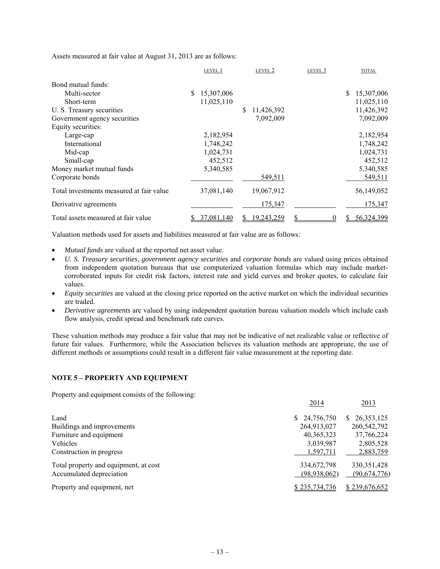Assets measured at fair value at August 31, 2013 are as follows:

|                                          | LEVEL 1          |   | LEVEL 2           | LEVEL 3 | <b>TOTAL</b>     |
|------------------------------------------|------------------|---|-------------------|---------|------------------|
| Bond mutual funds:                       |                  |   |                   |         |                  |
| Multi-sector                             | \$<br>15,307,006 |   |                   |         | \$<br>15,307,006 |
| Short-term                               | 11,025,110       |   |                   |         | 11,025,110       |
| U. S. Treasury securities                |                  | S | 11,426,392        |         | 11,426,392       |
| Government agency securities             |                  |   | 7,092,009         |         | 7,092,009        |
| Equity securities:                       |                  |   |                   |         |                  |
| Large-cap                                | 2,182,954        |   |                   |         | 2,182,954        |
| International                            | 1,748,242        |   |                   |         | 1,748,242        |
| Mid-cap                                  | 1,024,731        |   |                   |         | 1,024,731        |
| Small-cap                                | 452,512          |   |                   |         | 452,512          |
| Money market mutual funds                | 5,340,585        |   |                   |         | 5,340,585        |
| Corporate bonds                          |                  |   | 549,511           |         | 549,511          |
| Total investments measured at fair value | 37,081,140       |   | 19,067,912        |         | 56,149,052       |
| Derivative agreements                    |                  |   | 175,347           |         | 175,347          |
| Total assets measured at fair value      | 37.081.140       |   | <u>19,243,259</u> |         | 56,324,399       |

Valuation methods used for assets and liabilities measured at fair value are as follows:

- *Mutual funds* are valued at the reported net asset value.
- *U. S. Treasury securities, government agency securities* and *corporate bonds* are valued using prices obtained from independent quotation bureaus that use computerized valuation formulas which may include marketcorroborated inputs for credit risk factors, interest rate and yield curves and broker quotes, to calculate fair values.
- *Equity securities* are valued at the closing price reported on the active market on which the individual securities are traded.
- *Derivative agreements* are valued by using independent quotation bureau valuation models which include cash flow analysis, credit spread and benchmark rate curves.

These valuation methods may produce a fair value that may not be indicative of net realizable value or reflective of future fair values. Furthermore, while the Association believes its valuation methods are appropriate, the use of different methods or assumptions could result in a different fair value measurement at the reporting date.

#### **NOTE 5 – PROPERTY AND EQUIPMENT**

Property and equipment consists of the following:

|                                       | 2014           | 2013               |
|---------------------------------------|----------------|--------------------|
| Land                                  | \$24,756,750   | 26, 353, 125<br>S. |
| Buildings and improvements            | 264,913,027    | 260,542,792        |
| Furniture and equipment               | 40, 365, 323   | 37,766,224         |
| Vehicles                              | 3,039,987      | 2,805,528          |
| Construction in progress              | 1,597,711      | 2,883,759          |
| Total property and equipment, at cost | 334,672,798    | 330, 351, 428      |
| Accumulated depreciation              | (98, 938, 062) | (90,674,776)       |
| Property and equipment, net           | \$235,734,736  | \$239,676,652      |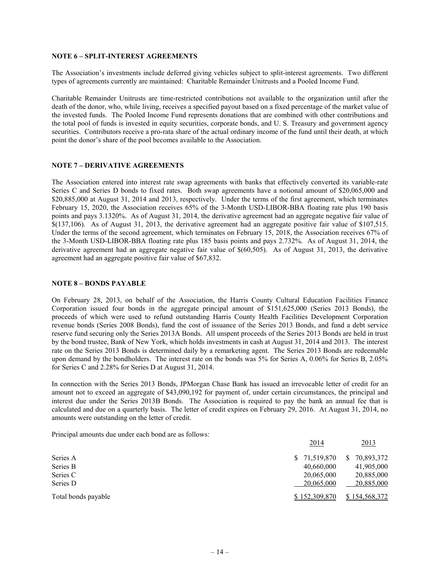#### **NOTE 6 – SPLIT-INTEREST AGREEMENTS**

The Association's investments include deferred giving vehicles subject to split-interest agreements. Two different types of agreements currently are maintained: Charitable Remainder Unitrusts and a Pooled Income Fund.

Charitable Remainder Unitrusts are time-restricted contributions not available to the organization until after the death of the donor, who, while living, receives a specified payout based on a fixed percentage of the market value of the invested funds. The Pooled Income Fund represents donations that are combined with other contributions and the total pool of funds is invested in equity securities, corporate bonds, and U. S. Treasury and government agency securities. Contributors receive a pro-rata share of the actual ordinary income of the fund until their death, at which point the donor's share of the pool becomes available to the Association.

#### **NOTE 7 – DERIVATIVE AGREEMENTS**

The Association entered into interest rate swap agreements with banks that effectively converted its variable-rate Series C and Series D bonds to fixed rates. Both swap agreements have a notional amount of \$20,065,000 and \$20,885,000 at August 31, 2014 and 2013, respectively. Under the terms of the first agreement, which terminates February 15, 2020, the Association receives 65% of the 3-Month USD-LIBOR-BBA floating rate plus 190 basis points and pays 3.1320%. As of August 31, 2014, the derivative agreement had an aggregate negative fair value of \$(137,106). As of August 31, 2013, the derivative agreement had an aggregate positive fair value of \$107,515. Under the terms of the second agreement, which terminates on February 15, 2018, the Association receives 67% of the 3-Month USD-LIBOR-BBA floating rate plus 185 basis points and pays 2.732%. As of August 31, 2014, the derivative agreement had an aggregate negative fair value of \$(60,505). As of August 31, 2013, the derivative agreement had an aggregate positive fair value of \$67,832.

#### **NOTE 8 – BONDS PAYABLE**

On February 28, 2013, on behalf of the Association, the Harris County Cultural Education Facilities Finance Corporation issued four bonds in the aggregate principal amount of \$151,625,000 (Series 2013 Bonds), the proceeds of which were used to refund outstanding Harris County Health Facilities Development Corporation revenue bonds (Series 2008 Bonds), fund the cost of issuance of the Series 2013 Bonds, and fund a debt service reserve fund securing only the Series 2013A Bonds. All unspent proceeds of the Series 2013 Bonds are held in trust by the bond trustee, Bank of New York, which holds investments in cash at August 31, 2014 and 2013. The interest rate on the Series 2013 Bonds is determined daily by a remarketing agent. The Series 2013 Bonds are redeemable upon demand by the bondholders. The interest rate on the bonds was 5% for Series A, 0.06% for Series B, 2.05% for Series C and 2.28% for Series D at August 31, 2014.

In connection with the Series 2013 Bonds, JPMorgan Chase Bank has issued an irrevocable letter of credit for an amount not to exceed an aggregate of \$43,090,192 for payment of, under certain circumstances, the principal and interest due under the Series 2013B Bonds. The Association is required to pay the bank an annual fee that is calculated and due on a quarterly basis. The letter of credit expires on February 29, 2016. At August 31, 2014, no amounts were outstanding on the letter of credit.

Principal amounts due under each bond are as follows:

|                     | 2014          | 2013            |
|---------------------|---------------|-----------------|
| Series A            | \$71,519,870  | 70,893,372<br>S |
| Series B            | 40,660,000    | 41,905,000      |
| Series C            | 20,065,000    | 20,885,000      |
| Series D            | 20,065,000    | 20,885,000      |
| Total bonds payable | \$152,309,870 | \$154,568,372   |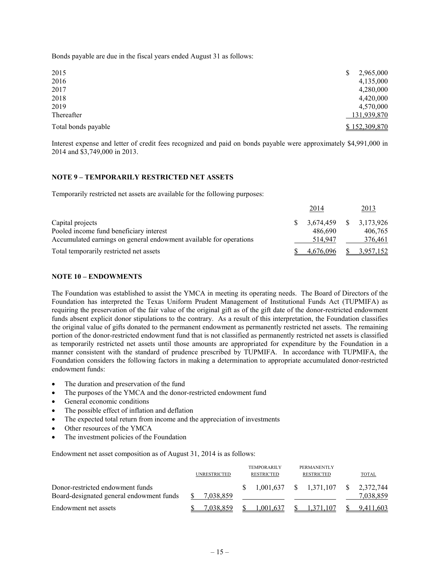Bonds payable are due in the fiscal years ended August 31 as follows:

| 2015                | 2,965,000     |
|---------------------|---------------|
| 2016                | 4,135,000     |
| 2017                | 4,280,000     |
| 2018                | 4,420,000     |
| 2019                | 4,570,000     |
| Thereafter          | 131,939,870   |
| Total bonds payable | \$152,309,870 |

Interest expense and letter of credit fees recognized and paid on bonds payable were approximately \$4,991,000 in 2014 and \$3,749,000 in 2013.

#### **NOTE 9 – TEMPORARILY RESTRICTED NET ASSETS**

Temporarily restricted net assets are available for the following purposes:

|                                                                    | 2014      | 2013                    |
|--------------------------------------------------------------------|-----------|-------------------------|
| Capital projects                                                   | 3.674.459 | $\frac{1}{2}$ 3,173,926 |
| Pooled income fund beneficiary interest                            | 486.690   | 406,765                 |
| Accumulated earnings on general endowment available for operations | 514.947   | 376,461                 |
| Total temporarily restricted net assets                            | 4.676.096 | 3.957.152               |

#### **NOTE 10 – ENDOWMENTS**

The Foundation was established to assist the YMCA in meeting its operating needs. The Board of Directors of the Foundation has interpreted the Texas Uniform Prudent Management of Institutional Funds Act (TUPMIFA) as requiring the preservation of the fair value of the original gift as of the gift date of the donor-restricted endowment funds absent explicit donor stipulations to the contrary. As a result of this interpretation, the Foundation classifies the original value of gifts donated to the permanent endowment as permanently restricted net assets. The remaining portion of the donor-restricted endowment fund that is not classified as permanently restricted net assets is classified as temporarily restricted net assets until those amounts are appropriated for expenditure by the Foundation in a manner consistent with the standard of prudence prescribed by TUPMIFA. In accordance with TUPMIFA, the Foundation considers the following factors in making a determination to appropriate accumulated donor-restricted endowment funds:

- The duration and preservation of the fund
- The purposes of the YMCA and the donor-restricted endowment fund
- General economic conditions
- The possible effect of inflation and deflation
- The expected total return from income and the appreciation of investments
- Other resources of the YMCA
- The investment policies of the Foundation

Endowment net asset composition as of August 31, 2014 is as follows:

|                                                                              | <b>UNRESTRICTED</b> | <b>TEMPORARILY</b><br><b>RESTRICTED</b> | <b>PERMANENTLY</b><br><b>RESTRICTED</b> | <b>TOTAL</b> |
|------------------------------------------------------------------------------|---------------------|-----------------------------------------|-----------------------------------------|--------------|
| Donor-restricted endowment funds<br>Board-designated general endowment funds | 7.038.859           |                                         | $1.001.637$ \$ $1.371.107$ \$ 2.372.744 | 7,038,859    |
| Endowment net assets                                                         | 7.038.859           | 1.001.637                               | 1.371.107                               | 9.411.603    |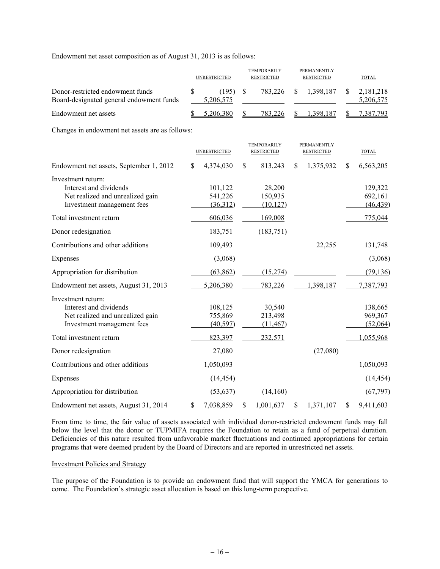Endowment net asset composition as of August 31, 2013 is as follows:

|                                                                              | <b>UNRESTRICTED</b> | <b>TEMPORARILY</b><br><b>RESTRICTED</b> |             | PERMANENTLY<br><b>RESTRICTED</b> |     | <b>TOTAL</b>           |
|------------------------------------------------------------------------------|---------------------|-----------------------------------------|-------------|----------------------------------|-----|------------------------|
| Donor-restricted endowment funds<br>Board-designated general endowment funds | (195)<br>5,206,575  | 783.226                                 | $\mathbf S$ | 1,398,187                        | -SS | 2.181.218<br>5,206,575 |
| Endowment net assets                                                         | 5.206.380           | 783.226                                 |             | 1.398.187                        |     | 7.387.793              |

Changes in endowment net assets are as follows:

|                                                                                                                | <b>UNRESTRICTED</b>             | <b>TEMPORARILY</b><br><b>RESTRICTED</b> | PERMANENTLY<br><b>RESTRICTED</b> | <b>TOTAL</b>                    |
|----------------------------------------------------------------------------------------------------------------|---------------------------------|-----------------------------------------|----------------------------------|---------------------------------|
| Endowment net assets, September 1, 2012                                                                        | 4,374,030<br>S                  | S<br>813,243                            | 1,375,932<br>S                   | 6,563,205<br>S                  |
| Investment return:<br>Interest and dividends<br>Net realized and unrealized gain<br>Investment management fees | 101,122<br>541,226<br>(36,312)  | 28,200<br>150,935<br>(10, 127)          |                                  | 129,322<br>692,161<br>(46, 439) |
| Total investment return                                                                                        | 606,036                         | 169,008                                 |                                  | 775,044                         |
| Donor redesignation                                                                                            | 183,751                         | (183,751)                               |                                  |                                 |
| Contributions and other additions                                                                              | 109,493                         |                                         | 22,255                           | 131,748                         |
| Expenses                                                                                                       | (3,068)                         |                                         |                                  | (3,068)                         |
| Appropriation for distribution                                                                                 | (63, 862)                       | (15,274)                                |                                  | (79, 136)                       |
| Endowment net assets, August 31, 2013                                                                          | 5,206,380                       | 783,226                                 | 1,398,187                        | 7,387,793                       |
| Investment return:<br>Interest and dividends<br>Net realized and unrealized gain<br>Investment management fees | 108,125<br>755,869<br>(40, 597) | 30,540<br>213,498<br>(11, 467)          |                                  | 138,665<br>969,367<br>(52,064)  |
| Total investment return                                                                                        | 823,397                         | 232,571                                 |                                  | 1,055,968                       |
| Donor redesignation                                                                                            | 27,080                          |                                         | (27,080)                         |                                 |
| Contributions and other additions                                                                              | 1,050,093                       |                                         |                                  | 1,050,093                       |
| Expenses                                                                                                       | (14, 454)                       |                                         |                                  | (14, 454)                       |
| Appropriation for distribution                                                                                 | (53, 637)                       | (14,160)                                |                                  | (67, 797)                       |
| Endowment net assets, August 31, 2014                                                                          | 7,038,859<br>\$                 | 1,001,637<br>S                          | 1,371,107<br>S                   | 9,411,603<br>S                  |

From time to time, the fair value of assets associated with individual donor-restricted endowment funds may fall below the level that the donor or TUPMIFA requires the Foundation to retain as a fund of perpetual duration. Deficiencies of this nature resulted from unfavorable market fluctuations and continued appropriations for certain programs that were deemed prudent by the Board of Directors and are reported in unrestricted net assets.

#### Investment Policies and Strategy

The purpose of the Foundation is to provide an endowment fund that will support the YMCA for generations to come. The Foundation's strategic asset allocation is based on this long-term perspective.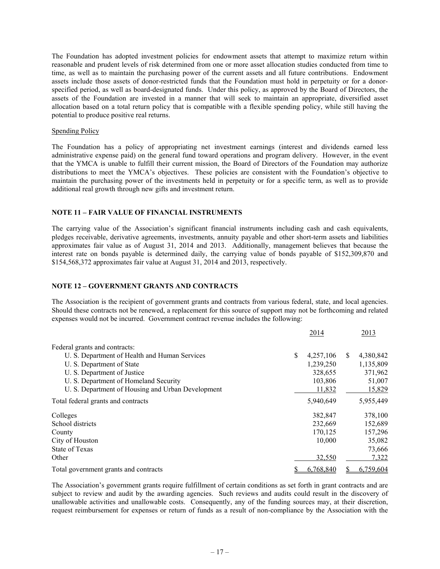The Foundation has adopted investment policies for endowment assets that attempt to maximize return within reasonable and prudent levels of risk determined from one or more asset allocation studies conducted from time to time, as well as to maintain the purchasing power of the current assets and all future contributions. Endowment assets include those assets of donor-restricted funds that the Foundation must hold in perpetuity or for a donorspecified period, as well as board-designated funds. Under this policy, as approved by the Board of Directors, the assets of the Foundation are invested in a manner that will seek to maintain an appropriate, diversified asset allocation based on a total return policy that is compatible with a flexible spending policy, while still having the potential to produce positive real returns.

#### Spending Policy

The Foundation has a policy of appropriating net investment earnings (interest and dividends earned less administrative expense paid) on the general fund toward operations and program delivery. However, in the event that the YMCA is unable to fulfill their current mission, the Board of Directors of the Foundation may authorize distributions to meet the YMCA's objectives. These policies are consistent with the Foundation's objective to maintain the purchasing power of the investments held in perpetuity or for a specific term, as well as to provide additional real growth through new gifts and investment return.

#### **NOTE 11 – FAIR VALUE OF FINANCIAL INSTRUMENTS**

The carrying value of the Association's significant financial instruments including cash and cash equivalents, pledges receivable, derivative agreements, investments, annuity payable and other short-term assets and liabilities approximates fair value as of August 31, 2014 and 2013. Additionally, management believes that because the interest rate on bonds payable is determined daily, the carrying value of bonds payable of \$152,309,870 and \$154,568,372 approximates fair value at August 31, 2014 and 2013, respectively.

#### **NOTE 12 – GOVERNMENT GRANTS AND CONTRACTS**

The Association is the recipient of government grants and contracts from various federal, state, and local agencies. Should these contracts not be renewed, a replacement for this source of support may not be forthcoming and related expenses would not be incurred. Government contract revenue includes the following:

|                                                   | 2014            |     | 2013      |
|---------------------------------------------------|-----------------|-----|-----------|
| Federal grants and contracts:                     |                 |     |           |
| U. S. Department of Health and Human Services     | \$<br>4,257,106 | \$. | 4,380,842 |
| U. S. Department of State                         | 1,239,250       |     | 1,135,809 |
| U. S. Department of Justice                       | 328,655         |     | 371,962   |
| U. S. Department of Homeland Security             | 103,806         |     | 51,007    |
| U. S. Department of Housing and Urban Development | 11,832          |     | 15,829    |
| Total federal grants and contracts                | 5,940,649       |     | 5,955,449 |
| Colleges                                          | 382,847         |     | 378,100   |
| School districts                                  | 232,669         |     | 152,689   |
| County                                            | 170,125         |     | 157,296   |
| City of Houston                                   | 10,000          |     | 35,082    |
| <b>State of Texas</b>                             |                 |     | 73,666    |
| Other                                             | 32,550          |     | 7,322     |
| Total government grants and contracts             | 6,768,840       |     | 6,759,604 |

The Association's government grants require fulfillment of certain conditions as set forth in grant contracts and are subject to review and audit by the awarding agencies. Such reviews and audits could result in the discovery of unallowable activities and unallowable costs. Consequently, any of the funding sources may, at their discretion, request reimbursement for expenses or return of funds as a result of non-compliance by the Association with the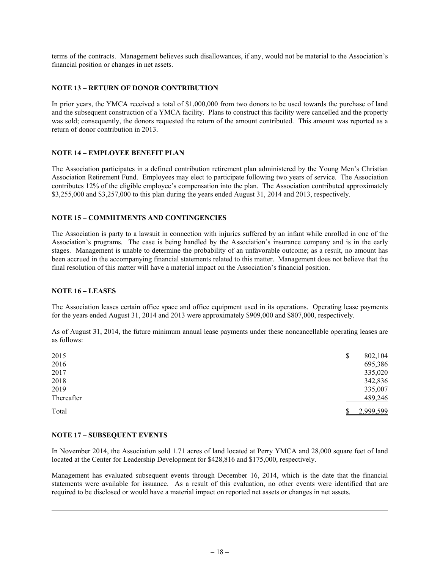terms of the contracts. Management believes such disallowances, if any, would not be material to the Association's financial position or changes in net assets.

#### **NOTE 13 – RETURN OF DONOR CONTRIBUTION**

In prior years, the YMCA received a total of \$1,000,000 from two donors to be used towards the purchase of land and the subsequent construction of a YMCA facility. Plans to construct this facility were cancelled and the property was sold; consequently, the donors requested the return of the amount contributed. This amount was reported as a return of donor contribution in 2013.

#### **NOTE 14 – EMPLOYEE BENEFIT PLAN**

The Association participates in a defined contribution retirement plan administered by the Young Men's Christian Association Retirement Fund. Employees may elect to participate following two years of service. The Association contributes 12% of the eligible employee's compensation into the plan. The Association contributed approximately \$3,255,000 and \$3,257,000 to this plan during the years ended August 31, 2014 and 2013, respectively.

#### **NOTE 15 – COMMITMENTS AND CONTINGENCIES**

The Association is party to a lawsuit in connection with injuries suffered by an infant while enrolled in one of the Association's programs. The case is being handled by the Association's insurance company and is in the early stages. Management is unable to determine the probability of an unfavorable outcome; as a result, no amount has been accrued in the accompanying financial statements related to this matter. Management does not believe that the final resolution of this matter will have a material impact on the Association's financial position.

#### **NOTE 16 – LEASES**

The Association leases certain office space and office equipment used in its operations. Operating lease payments for the years ended August 31, 2014 and 2013 were approximately \$909,000 and \$807,000, respectively.

As of August 31, 2014, the future minimum annual lease payments under these noncancellable operating leases are as follows:

| 2015<br>2016 | \$<br>802,104<br>695,386 |
|--------------|--------------------------|
| 2017         | 335,020                  |
| 2018         | 342,836                  |
| 2019         | 335,007                  |
| Thereafter   | 489,246                  |
| Total        | 2,999,599                |

#### **NOTE 17 – SUBSEQUENT EVENTS**

In November 2014, the Association sold 1.71 acres of land located at Perry YMCA and 28,000 square feet of land located at the Center for Leadership Development for \$428,816 and \$175,000, respectively.

Management has evaluated subsequent events through December 16, 2014, which is the date that the financial statements were available for issuance. As a result of this evaluation, no other events were identified that are required to be disclosed or would have a material impact on reported net assets or changes in net assets.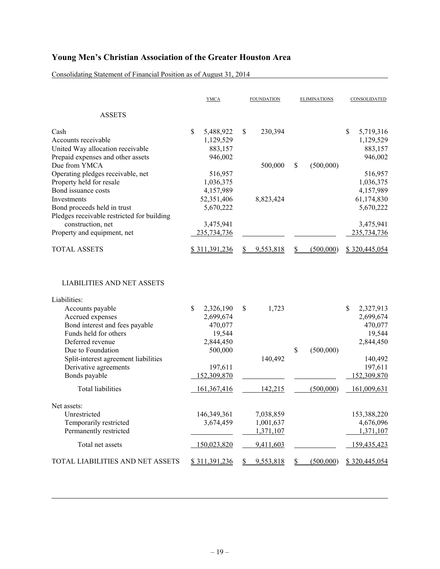Consolidating Statement of Financial Position as of August 31, 2014

|                                                                                                                     | <b>YMCA</b>                                                    | <b>FOUNDATION</b>                   | <b>ELIMINATIONS</b>         | CONSOLIDATED                                                   |
|---------------------------------------------------------------------------------------------------------------------|----------------------------------------------------------------|-------------------------------------|-----------------------------|----------------------------------------------------------------|
| <b>ASSETS</b>                                                                                                       |                                                                |                                     |                             |                                                                |
| Cash<br>Accounts receivable<br>United Way allocation receivable<br>Prepaid expenses and other assets                | \$<br>5,488,922<br>1,129,529<br>883,157<br>946,002             | 230,394<br>\$                       |                             | \$<br>5,719,316<br>1,129,529<br>883,157<br>946,002             |
| Due from YMCA<br>Operating pledges receivable, net<br>Property held for resale<br>Bond issuance costs               | 516,957<br>1,036,375<br>4,157,989                              | 500,000                             | \$<br>(500,000)             | 516,957<br>1,036,375<br>4,157,989                              |
| Investments<br>Bond proceeds held in trust<br>Pledges receivable restricted for building<br>construction, net       | 52,351,406<br>5,670,222<br>3,475,941                           | 8,823,424                           |                             | 61,174,830<br>5,670,222<br>3,475,941                           |
| Property and equipment, net                                                                                         | 235,734,736                                                    |                                     |                             | 235,734,736                                                    |
| <b>TOTAL ASSETS</b>                                                                                                 | \$311,391,236                                                  | \$9,553,818                         | (500,000)<br>$\mathbb{S}^-$ | \$320,445,054                                                  |
| <b>LIABILITIES AND NET ASSETS</b>                                                                                   |                                                                |                                     |                             |                                                                |
| Liabilities:                                                                                                        |                                                                |                                     |                             |                                                                |
| Accounts payable<br>Accrued expenses<br>Bond interest and fees payable<br>Funds held for others<br>Deferred revenue | \$<br>2,326,190<br>2,699,674<br>470,077<br>19,544<br>2,844,450 | \$<br>1,723                         |                             | \$<br>2,327,913<br>2,699,674<br>470,077<br>19,544<br>2,844,450 |
| Due to Foundation<br>Split-interest agreement liabilities<br>Derivative agreements<br>Bonds payable                 | 500,000<br>197,611<br>152,309,870                              | 140,492                             | \$<br>(500,000)             | 140,492<br>197,611<br>152,309,870                              |
| Total liabilities                                                                                                   | 161,367,416                                                    | 142,215                             | (500,000)                   | 161,009,631                                                    |
| Net assets:<br>Unrestricted<br>Temporarily restricted<br>Permanently restricted                                     | 146,349,361<br>3,674,459                                       | 7,038,859<br>1,001,637<br>1,371,107 |                             | 153,388,220<br>4,676,096<br>1,371,107                          |
| Total net assets                                                                                                    | 150,023,820                                                    | 9,411,603                           |                             | 159,435,423                                                    |
| TOTAL LIABILITIES AND NET ASSETS                                                                                    | \$311,391,236                                                  | 9,553,818<br>S                      | (500,000)<br>\$             | \$320,445,054                                                  |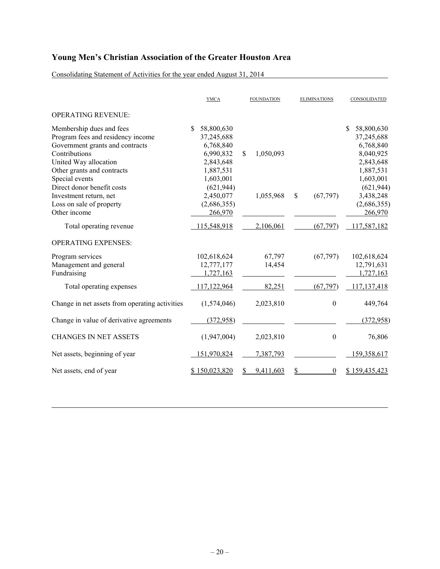Consolidating Statement of Activities for the year ended August 31, 2014

|                                                                                                                                                                                            | <b>YMCA</b>                                                                                     | <b>FOUNDATION</b> | <b>ELIMINATIONS</b> | CONSOLIDATED                                                                                    |
|--------------------------------------------------------------------------------------------------------------------------------------------------------------------------------------------|-------------------------------------------------------------------------------------------------|-------------------|---------------------|-------------------------------------------------------------------------------------------------|
| <b>OPERATING REVENUE:</b>                                                                                                                                                                  |                                                                                                 |                   |                     |                                                                                                 |
| Membership dues and fees<br>Program fees and residency income<br>Government grants and contracts<br>Contributions<br>United Way allocation<br>Other grants and contracts<br>Special events | \$<br>58,800,630<br>37,245,688<br>6,768,840<br>6,990,832<br>2,843,648<br>1,887,531<br>1,603,001 | \$<br>1,050,093   |                     | \$<br>58,800,630<br>37,245,688<br>6,768,840<br>8,040,925<br>2,843,648<br>1,887,531<br>1,603,001 |
| Direct donor benefit costs<br>Investment return, net<br>Loss on sale of property<br>Other income                                                                                           | (621, 944)<br>2,450,077<br>(2,686,355)<br>266,970                                               | 1,055,968         | \$<br>(67, 797)     | (621, 944)<br>3,438,248<br>(2,686,355)<br>266,970                                               |
| Total operating revenue                                                                                                                                                                    | 115,548,918                                                                                     | 2,106,061         | (67, 797)           | 117,587,182                                                                                     |
| <b>OPERATING EXPENSES:</b>                                                                                                                                                                 |                                                                                                 |                   |                     |                                                                                                 |
| Program services<br>Management and general<br>Fundraising                                                                                                                                  | 102,618,624<br>12,777,177<br>1.727,163                                                          | 67,797<br>14,454  | (67, 797)           | 102,618,624<br>12,791,631<br>1.727,163                                                          |
| Total operating expenses                                                                                                                                                                   | 117,122,964                                                                                     | 82,251            | (67, 797)           | 117,137,418                                                                                     |
| Change in net assets from operating activities                                                                                                                                             | (1,574,046)                                                                                     | 2,023,810         | $\boldsymbol{0}$    | 449,764                                                                                         |
| Change in value of derivative agreements                                                                                                                                                   | (372,958)                                                                                       |                   |                     | (372, 958)                                                                                      |
| <b>CHANGES IN NET ASSETS</b>                                                                                                                                                               | (1,947,004)                                                                                     | 2,023,810         | $\mathbf{0}$        | 76,806                                                                                          |
| Net assets, beginning of year                                                                                                                                                              | 151,970,824                                                                                     | 7,387,793         |                     | 159,358,617                                                                                     |
| Net assets, end of year                                                                                                                                                                    | \$150,023,820                                                                                   | 9,411,603         | $\mathbf{0}$        | \$159,435,423                                                                                   |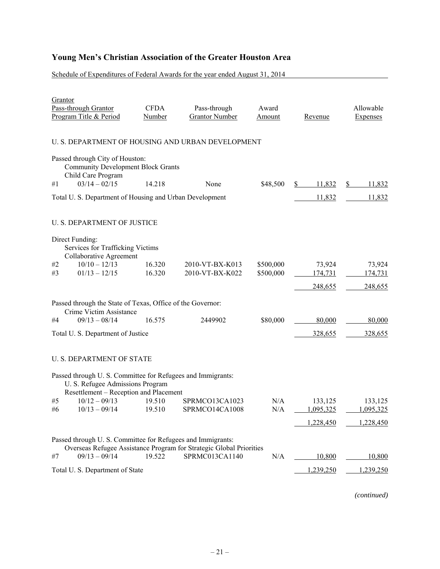Schedule of Expenditures of Federal Awards for the year ended August 31, 2014

| <b>Grantor</b> |                                                                                                                                          |                       |                                                                                       |                 |              |                              |
|----------------|------------------------------------------------------------------------------------------------------------------------------------------|-----------------------|---------------------------------------------------------------------------------------|-----------------|--------------|------------------------------|
|                | Pass-through Grantor<br>Program Title & Period                                                                                           | <b>CFDA</b><br>Number | Pass-through<br><b>Grantor Number</b>                                                 | Award<br>Amount | Revenue      | Allowable<br><b>Expenses</b> |
|                |                                                                                                                                          |                       |                                                                                       |                 |              |                              |
|                |                                                                                                                                          |                       | U. S. DEPARTMENT OF HOUSING AND URBAN DEVELOPMENT                                     |                 |              |                              |
|                | Passed through City of Houston:<br><b>Community Development Block Grants</b>                                                             |                       |                                                                                       |                 |              |                              |
| #1             | Child Care Program<br>$03/14 - 02/15$                                                                                                    | 14.218                | None                                                                                  | \$48,500        | \$<br>11,832 | \$<br>11,832                 |
|                | Total U.S. Department of Housing and Urban Development                                                                                   |                       |                                                                                       |                 | 11,832       | 11,832                       |
|                | <b>U. S. DEPARTMENT OF JUSTICE</b>                                                                                                       |                       |                                                                                       |                 |              |                              |
|                | Direct Funding:<br>Services for Trafficking Victims<br>Collaborative Agreement                                                           |                       |                                                                                       |                 |              |                              |
| #2             | $10/10 - 12/13$                                                                                                                          | 16.320                | 2010-VT-BX-K013                                                                       | \$500,000       | 73,924       | 73,924                       |
| #3             | $01/13 - 12/15$                                                                                                                          | 16.320                | 2010-VT-BX-K022                                                                       | \$500,000       | 174,731      | 174,731                      |
|                |                                                                                                                                          |                       |                                                                                       |                 | 248,655      | 248,655                      |
|                | Passed through the State of Texas, Office of the Governor:<br>Crime Victim Assistance                                                    |                       |                                                                                       |                 |              |                              |
| #4             | $09/13 - 08/14$                                                                                                                          | 16.575                | 2449902                                                                               | \$80,000        | 80,000       | 80,000                       |
|                | Total U.S. Department of Justice                                                                                                         |                       |                                                                                       |                 | 328,655      | 328,655                      |
|                | <b>U. S. DEPARTMENT OF STATE</b>                                                                                                         |                       |                                                                                       |                 |              |                              |
|                | Passed through U.S. Committee for Refugees and Immigrants:<br>U. S. Refugee Admissions Program<br>Resettlement – Reception and Placement |                       |                                                                                       |                 |              |                              |
| #5             | $10/12 - 09/13$                                                                                                                          | 19.510                | SPRMCO13CA1023                                                                        | N/A             | 133,125      | 133,125                      |
| #6             | $10/13 - 09/14$                                                                                                                          | 19.510                | SPRMCO14CA1008                                                                        | N/A             | 1,095,325    | 1,095,325                    |
|                |                                                                                                                                          |                       |                                                                                       |                 | 1,228,450    | 1,228,450                    |
|                | Passed through U.S. Committee for Refugees and Immigrants:                                                                               |                       |                                                                                       |                 |              |                              |
| #7             | $09/13 - 09/14$                                                                                                                          | 19.522                | Overseas Refugee Assistance Program for Strategic Global Priorities<br>SPRMC013CA1140 | N/A             | 10,800       | 10,800                       |
|                | Total U.S. Department of State                                                                                                           |                       |                                                                                       |                 | 1,239,250    | 1,239,250                    |
|                |                                                                                                                                          |                       |                                                                                       |                 |              |                              |

*(continued)*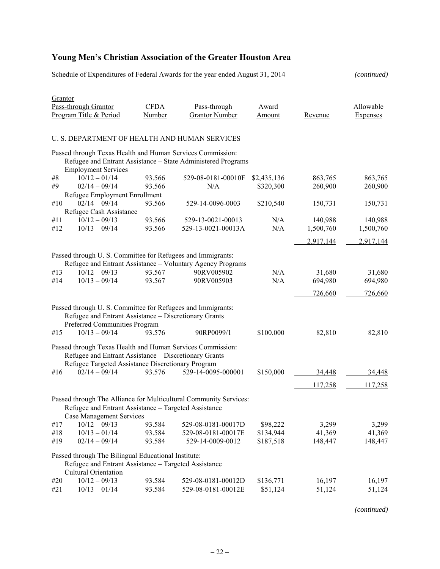| Schedule of Expenditures of Federal Awards for the year ended August 31, 2014 |                                                            |                  |                                                                   |               |           | (continued)     |  |
|-------------------------------------------------------------------------------|------------------------------------------------------------|------------------|-------------------------------------------------------------------|---------------|-----------|-----------------|--|
|                                                                               |                                                            |                  |                                                                   |               |           |                 |  |
| Grantor                                                                       |                                                            |                  |                                                                   |               |           |                 |  |
|                                                                               | Pass-through Grantor                                       | <b>CFDA</b>      | Pass-through                                                      | Award         |           | Allowable       |  |
|                                                                               | Program Title & Period                                     | Number           | <b>Grantor Number</b>                                             | <b>Amount</b> | Revenue   | <b>Expenses</b> |  |
|                                                                               |                                                            |                  |                                                                   |               |           |                 |  |
|                                                                               |                                                            |                  |                                                                   |               |           |                 |  |
|                                                                               |                                                            |                  | U. S. DEPARTMENT OF HEALTH AND HUMAN SERVICES                     |               |           |                 |  |
|                                                                               |                                                            |                  | Passed through Texas Health and Human Services Commission:        |               |           |                 |  |
|                                                                               |                                                            |                  | Refugee and Entrant Assistance - State Administered Programs      |               |           |                 |  |
|                                                                               | <b>Employment Services</b>                                 |                  |                                                                   |               |           |                 |  |
| #8                                                                            | $10/12 - 01/14$                                            | 93.566           | 529-08-0181-00010F                                                | \$2,435,136   | 863,765   | 863,765         |  |
| #9                                                                            | $02/14 - 09/14$                                            | 93.566           | N/A                                                               | \$320,300     | 260,900   | 260,900         |  |
|                                                                               | Refugee Employment Enrollment                              |                  |                                                                   |               |           |                 |  |
| #10                                                                           | $02/14 - 09/14$                                            | 93.566           | 529-14-0096-0003                                                  | \$210,540     | 150,731   | 150,731         |  |
|                                                                               | Refugee Cash Assistance                                    |                  |                                                                   |               |           |                 |  |
| #11                                                                           | $10/12 - 09/13$                                            | 93.566           | 529-13-0021-00013                                                 | N/A           | 140,988   | 140,988         |  |
| #12                                                                           | $10/13 - 09/14$                                            | 93.566           | 529-13-0021-00013A                                                | N/A           | 1,500,760 | 1,500,760       |  |
|                                                                               |                                                            |                  |                                                                   |               | 2,917,144 | 2,917,144       |  |
|                                                                               | Passed through U.S. Committee for Refugees and Immigrants: |                  |                                                                   |               |           |                 |  |
|                                                                               |                                                            |                  | Refugee and Entrant Assistance - Voluntary Agency Programs        |               |           |                 |  |
| #13                                                                           | $10/12 - 09/13$                                            | 93.567           | 90RV005902                                                        | N/A           | 31,680    | 31,680          |  |
| #14                                                                           | $10/13 - 09/14$                                            | 93.567           | 90RV005903                                                        | N/A           | 694,980   | 694,980         |  |
|                                                                               |                                                            |                  |                                                                   |               |           |                 |  |
|                                                                               |                                                            |                  |                                                                   |               | 726,660   | 726,660         |  |
|                                                                               | Passed through U.S. Committee for Refugees and Immigrants: |                  |                                                                   |               |           |                 |  |
|                                                                               | Refugee and Entrant Assistance - Discretionary Grants      |                  |                                                                   |               |           |                 |  |
|                                                                               | Preferred Communities Program                              |                  |                                                                   |               |           |                 |  |
| #15                                                                           | $10/13 - 09/14$                                            | 93.576           | 90RP0099/1                                                        | \$100,000     | 82,810    | 82,810          |  |
|                                                                               |                                                            |                  | Passed through Texas Health and Human Services Commission:        |               |           |                 |  |
|                                                                               | Refugee and Entrant Assistance - Discretionary Grants      |                  |                                                                   |               |           |                 |  |
|                                                                               | Refugee Targeted Assistance Discretionary Program          |                  |                                                                   |               |           |                 |  |
| #16                                                                           | $02/14 - 09/14$                                            | 93.576           | 529-14-0095-000001                                                | \$150,000     | 34,448    | 34,448          |  |
|                                                                               |                                                            |                  |                                                                   |               |           |                 |  |
|                                                                               |                                                            |                  |                                                                   |               | 117,258   | 117,258         |  |
|                                                                               |                                                            |                  | Passed through The Alliance for Multicultural Community Services: |               |           |                 |  |
|                                                                               | Refugee and Entrant Assistance - Targeted Assistance       |                  |                                                                   |               |           |                 |  |
|                                                                               | <b>Case Management Services</b>                            |                  |                                                                   |               |           |                 |  |
| #17                                                                           | $10/12 - 09/13$                                            | 93.584           | 529-08-0181-00017D                                                | \$98,222      | 3,299     | 3,299           |  |
| #18                                                                           | $10/13 - 01/14$                                            | 93.584           | 529-08-0181-00017E                                                | \$134,944     | 41,369    | 41,369          |  |
| #19                                                                           | $02/14 - 09/14$                                            | 93.584           | 529-14-0009-0012                                                  | \$187,518     | 148,447   | 148,447         |  |
|                                                                               |                                                            |                  |                                                                   |               |           |                 |  |
|                                                                               | Passed through The Bilingual Educational Institute:        |                  |                                                                   |               |           |                 |  |
|                                                                               | Refugee and Entrant Assistance - Targeted Assistance       |                  |                                                                   |               |           |                 |  |
|                                                                               | <b>Cultural Orientation</b><br>$10/12 - 09/13$             |                  |                                                                   |               |           |                 |  |
| #20<br>#21                                                                    | $10/13 - 01/14$                                            | 93.584<br>93.584 | 529-08-0181-00012D<br>529-08-0181-00012E                          | \$136,771     | 16,197    | 16,197          |  |
|                                                                               |                                                            |                  |                                                                   | \$51,124      | 51,124    | 51,124          |  |

*(continued)*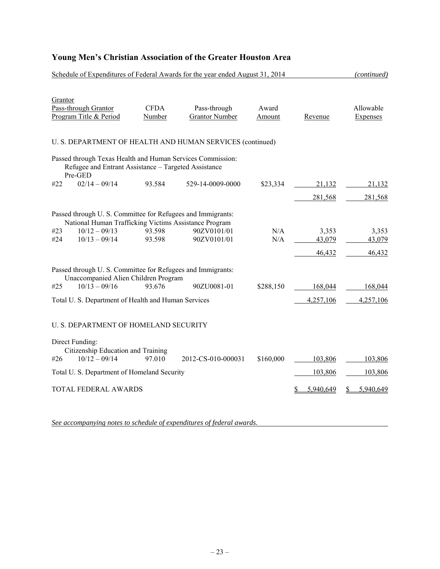| Schedule of Expenditures of Federal Awards for the year ended August 31, 2014 |                                                                                                                                        |                       |                                                           |                 | (continued) |                              |
|-------------------------------------------------------------------------------|----------------------------------------------------------------------------------------------------------------------------------------|-----------------------|-----------------------------------------------------------|-----------------|-------------|------------------------------|
| Grantor                                                                       | Pass-through Grantor<br>Program Title & Period                                                                                         | <b>CFDA</b><br>Number | Pass-through<br><b>Grantor Number</b>                     | Award<br>Amount | Revenue     | Allowable<br><b>Expenses</b> |
|                                                                               |                                                                                                                                        |                       | U. S. DEPARTMENT OF HEALTH AND HUMAN SERVICES (continued) |                 |             |                              |
|                                                                               | Passed through Texas Health and Human Services Commission:<br>Refugee and Entrant Assistance - Targeted Assistance<br>Pre-GED          |                       |                                                           |                 |             |                              |
| #22                                                                           | $02/14 - 09/14$                                                                                                                        | 93.584                | 529-14-0009-0000                                          | \$23,334        | 21,132      | 21.132                       |
|                                                                               |                                                                                                                                        |                       |                                                           |                 | 281,568     | 281,568                      |
| #23                                                                           | Passed through U.S. Committee for Refugees and Immigrants:<br>National Human Trafficking Victims Assistance Program<br>$10/12 - 09/13$ | 93.598                | 90ZV0101/01                                               | N/A             | 3,353       | 3,353                        |
| #24                                                                           | $10/13 - 09/14$                                                                                                                        | 93.598                | 90ZV0101/01                                               | N/A             | 43,079      | 43,079                       |
|                                                                               |                                                                                                                                        |                       |                                                           |                 | 46,432      | 46,432                       |
|                                                                               | Passed through U.S. Committee for Refugees and Immigrants:<br>Unaccompanied Alien Children Program                                     |                       |                                                           |                 |             |                              |
| #25                                                                           | $10/13 - 09/16$                                                                                                                        | 93.676                | 90ZU0081-01                                               | \$288,150       | 168,044     | 168,044                      |
|                                                                               | Total U.S. Department of Health and Human Services                                                                                     |                       |                                                           |                 | 4,257,106   | 4,257,106                    |
|                                                                               | U. S. DEPARTMENT OF HOMELAND SECURITY                                                                                                  |                       |                                                           |                 |             |                              |
| #26                                                                           | Direct Funding:<br>Citizenship Education and Training<br>$10/12 - 09/14$                                                               | 97.010                | 2012-CS-010-000031                                        | \$160,000       | 103,806     | 103,806                      |
|                                                                               | Total U.S. Department of Homeland Security                                                                                             |                       |                                                           |                 | 103,806     | 103,806                      |
|                                                                               | <b>TOTAL FEDERAL AWARDS</b>                                                                                                            |                       |                                                           |                 | 5,940,649   | 5,940,649                    |

*See accompanying notes to schedule of expenditures of federal awards.*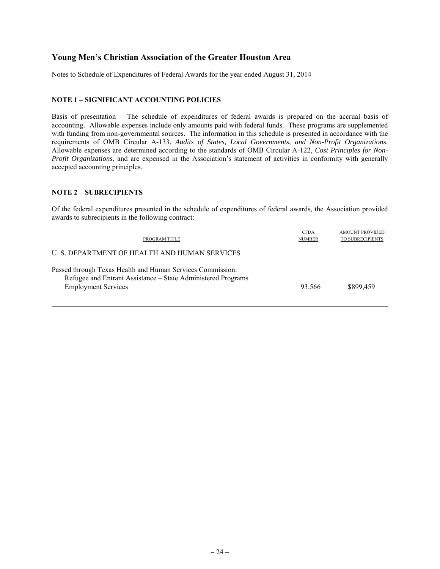Notes to Schedule of Expenditures of Federal Awards for the year ended August 31, 2014

#### **NOTE 1 – SIGNIFICANT ACCOUNTING POLICIES**

Basis of presentation – The schedule of expenditures of federal awards is prepared on the accrual basis of accounting. Allowable expenses include only amounts paid with federal funds. These programs are supplemented with funding from non-governmental sources. The information in this schedule is presented in accordance with the requirements of OMB Circular A-133, *Audits of States, Local Governments, and Non-Profit Organizations*. Allowable expenses are determined according to the standards of OMB Circular A-122, *Cost Principles for Non-Profit Organizations*, and are expensed in the Association's statement of activities in conformity with generally accepted accounting principles.

#### **NOTE 2 – SUBRECIPIENTS**

Of the federal expenditures presented in the schedule of expenditures of federal awards, the Association provided awards to subrecipients in the following contract:

|                                                                                                                                                          | <b>CFDA</b>   | <b>AMOUNT PROVIDED</b> |
|----------------------------------------------------------------------------------------------------------------------------------------------------------|---------------|------------------------|
| PROGRAM TITLE                                                                                                                                            | <b>NUMBER</b> | TO SUBRECIPIENTS       |
| U. S. DEPARTMENT OF HEALTH AND HUMAN SERVICES                                                                                                            |               |                        |
| Passed through Texas Health and Human Services Commission:<br>Refugee and Entrant Assistance – State Administered Programs<br><b>Employment Services</b> | 93.566        | \$899,459              |
|                                                                                                                                                          |               |                        |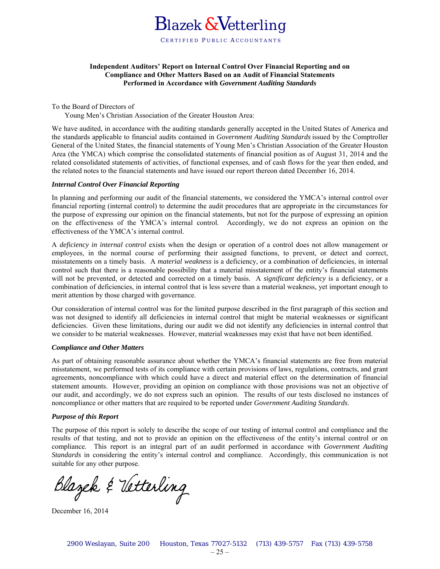

#### **Independent Auditors' Report on Internal Control Over Financial Reporting and on Compliance and Other Matters Based on an Audit of Financial Statements Performed in Accordance with** *Government Auditing Standards*

To the Board of Directors of

Young Men's Christian Association of the Greater Houston Area:

We have audited, in accordance with the auditing standards generally accepted in the United States of America and the standards applicable to financial audits contained in *Government Auditing Standards* issued by the Comptroller General of the United States, the financial statements of Young Men's Christian Association of the Greater Houston Area (the YMCA) which comprise the consolidated statements of financial position as of August 31, 2014 and the related consolidated statements of activities, of functional expenses, and of cash flows for the year then ended, and the related notes to the financial statements and have issued our report thereon dated December 16, 2014.

#### *Internal Control Over Financial Reporting*

In planning and performing our audit of the financial statements, we considered the YMCA's internal control over financial reporting (internal control) to determine the audit procedures that are appropriate in the circumstances for the purpose of expressing our opinion on the financial statements, but not for the purpose of expressing an opinion on the effectiveness of the YMCA's internal control. Accordingly, we do not express an opinion on the effectiveness of the YMCA's internal control.

A *deficiency in internal control* exists when the design or operation of a control does not allow management or employees, in the normal course of performing their assigned functions, to prevent, or detect and correct, misstatements on a timely basis. A *material weakness* is a deficiency, or a combination of deficiencies, in internal control such that there is a reasonable possibility that a material misstatement of the entity's financial statements will not be prevented, or detected and corrected on a timely basis. A *significant deficiency* is a deficiency, or a combination of deficiencies, in internal control that is less severe than a material weakness, yet important enough to merit attention by those charged with governance.

Our consideration of internal control was for the limited purpose described in the first paragraph of this section and was not designed to identify all deficiencies in internal control that might be material weaknesses or significant deficiencies. Given these limitations, during our audit we did not identify any deficiencies in internal control that we consider to be material weaknesses. However, material weaknesses may exist that have not been identified.

#### *Compliance and Other Matters*

As part of obtaining reasonable assurance about whether the YMCA's financial statements are free from material misstatement, we performed tests of its compliance with certain provisions of laws, regulations, contracts, and grant agreements, noncompliance with which could have a direct and material effect on the determination of financial statement amounts. However, providing an opinion on compliance with those provisions was not an objective of our audit, and accordingly, we do not express such an opinion. The results of our tests disclosed no instances of noncompliance or other matters that are required to be reported under *Government Auditing Standards*.

#### *Purpose of this Report*

The purpose of this report is solely to describe the scope of our testing of internal control and compliance and the results of that testing, and not to provide an opinion on the effectiveness of the entity's internal control or on compliance. This report is an integral part of an audit performed in accordance with *Government Auditing Standards* in considering the entity's internal control and compliance. Accordingly, this communication is not suitable for any other purpose.

Blazek & Vetterling

December 16, 2014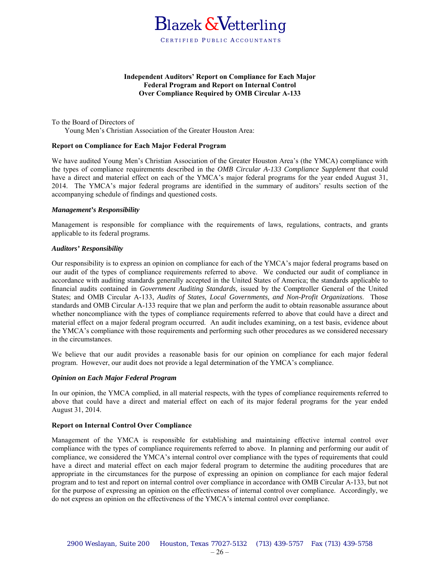

#### **Independent Auditors' Report on Compliance for Each Major Federal Program and Report on Internal Control Over Compliance Required by OMB Circular A-133**

To the Board of Directors of Young Men's Christian Association of the Greater Houston Area:

#### **Report on Compliance for Each Major Federal Program**

We have audited Young Men's Christian Association of the Greater Houston Area's (the YMCA) compliance with the types of compliance requirements described in the *OMB Circular A-133 Compliance Supplement* that could have a direct and material effect on each of the YMCA's major federal programs for the year ended August 31, 2014. The YMCA's major federal programs are identified in the summary of auditors' results section of the accompanying schedule of findings and questioned costs.

#### *Management's Responsibility*

Management is responsible for compliance with the requirements of laws, regulations, contracts, and grants applicable to its federal programs.

#### *Auditors' Responsibility*

Our responsibility is to express an opinion on compliance for each of the YMCA's major federal programs based on our audit of the types of compliance requirements referred to above. We conducted our audit of compliance in accordance with auditing standards generally accepted in the United States of America; the standards applicable to financial audits contained in *Government Auditing Standards*, issued by the Comptroller General of the United States; and OMB Circular A-133, *Audits of States, Local Governments, and Non-Profit Organizations*. Those standards and OMB Circular A-133 require that we plan and perform the audit to obtain reasonable assurance about whether noncompliance with the types of compliance requirements referred to above that could have a direct and material effect on a major federal program occurred. An audit includes examining, on a test basis, evidence about the YMCA's compliance with those requirements and performing such other procedures as we considered necessary in the circumstances.

We believe that our audit provides a reasonable basis for our opinion on compliance for each major federal program. However, our audit does not provide a legal determination of the YMCA's compliance.

#### *Opinion on Each Major Federal Program*

In our opinion, the YMCA complied, in all material respects, with the types of compliance requirements referred to above that could have a direct and material effect on each of its major federal programs for the year ended August 31, 2014.

#### **Report on Internal Control Over Compliance**

Management of the YMCA is responsible for establishing and maintaining effective internal control over compliance with the types of compliance requirements referred to above. In planning and performing our audit of compliance, we considered the YMCA's internal control over compliance with the types of requirements that could have a direct and material effect on each major federal program to determine the auditing procedures that are appropriate in the circumstances for the purpose of expressing an opinion on compliance for each major federal program and to test and report on internal control over compliance in accordance with OMB Circular A-133, but not for the purpose of expressing an opinion on the effectiveness of internal control over compliance. Accordingly, we do not express an opinion on the effectiveness of the YMCA's internal control over compliance.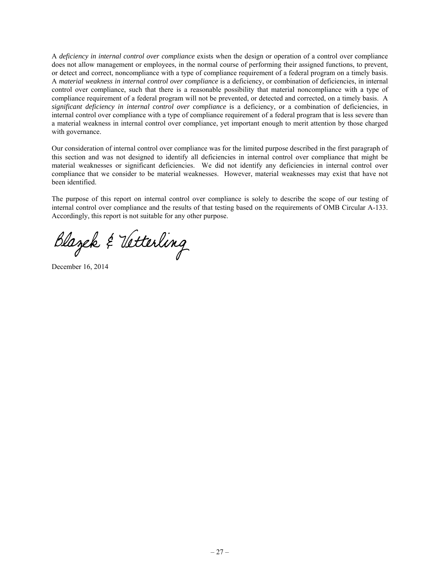A *deficiency in internal control over compliance* exists when the design or operation of a control over compliance does not allow management or employees, in the normal course of performing their assigned functions, to prevent, or detect and correct, noncompliance with a type of compliance requirement of a federal program on a timely basis. A *material weakness in internal control over compliance* is a deficiency, or combination of deficiencies, in internal control over compliance, such that there is a reasonable possibility that material noncompliance with a type of compliance requirement of a federal program will not be prevented, or detected and corrected, on a timely basis. A *significant deficiency in internal control over compliance* is a deficiency, or a combination of deficiencies, in internal control over compliance with a type of compliance requirement of a federal program that is less severe than a material weakness in internal control over compliance, yet important enough to merit attention by those charged with governance.

Our consideration of internal control over compliance was for the limited purpose described in the first paragraph of this section and was not designed to identify all deficiencies in internal control over compliance that might be material weaknesses or significant deficiencies. We did not identify any deficiencies in internal control over compliance that we consider to be material weaknesses. However, material weaknesses may exist that have not been identified.

The purpose of this report on internal control over compliance is solely to describe the scope of our testing of internal control over compliance and the results of that testing based on the requirements of OMB Circular A-133. Accordingly, this report is not suitable for any other purpose.

Blazek & Vetterling

December 16, 2014